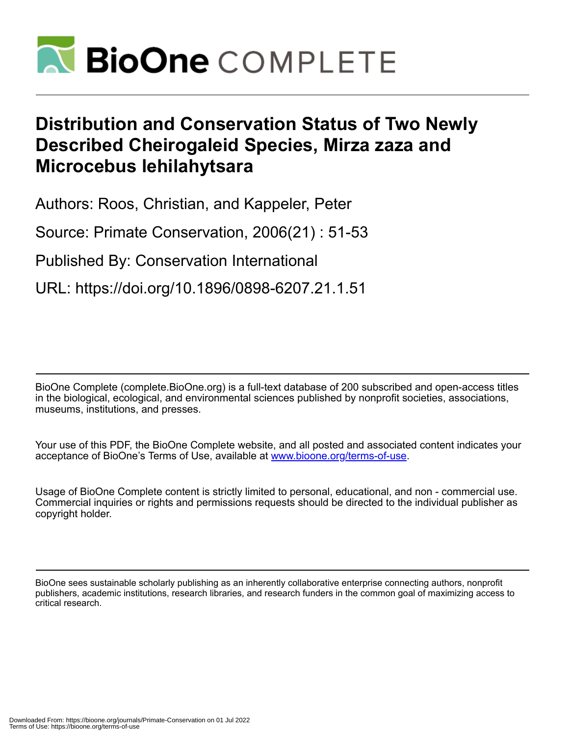

# **Distribution and Conservation Status of Two Newly Described Cheirogaleid Species, Mirza zaza and Microcebus lehilahytsara**

Authors: Roos, Christian, and Kappeler, Peter

Source: Primate Conservation, 2006(21) : 51-53

Published By: Conservation International

URL: https://doi.org/10.1896/0898-6207.21.1.51

BioOne Complete (complete.BioOne.org) is a full-text database of 200 subscribed and open-access titles in the biological, ecological, and environmental sciences published by nonprofit societies, associations, museums, institutions, and presses.

Your use of this PDF, the BioOne Complete website, and all posted and associated content indicates your acceptance of BioOne's Terms of Use, available at www.bioone.org/terms-of-use.

Usage of BioOne Complete content is strictly limited to personal, educational, and non - commercial use. Commercial inquiries or rights and permissions requests should be directed to the individual publisher as copyright holder.

BioOne sees sustainable scholarly publishing as an inherently collaborative enterprise connecting authors, nonprofit publishers, academic institutions, research libraries, and research funders in the common goal of maximizing access to critical research.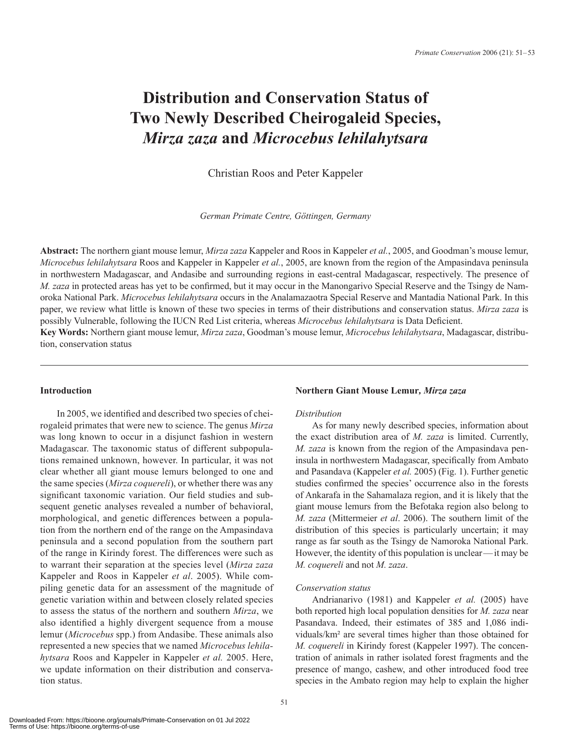## **Distribution and Conservation Status of Two Newly Described Cheirogaleid Species,** *Mirza zaza* **and** *Microcebus lehilahytsara*

Christian Roos and Peter Kappeler

*German Primate Centre, Göttingen, Germany*

**Abstract:** The northern giant mouse lemur, *Mirza zaza* Kappeler and Roos in Kappeler *et al.*, 2005, and Goodman's mouse lemur, *Microcebus lehilahytsara* Roos and Kappeler in Kappeler *et al.*, 2005, are known from the region of the Ampasindava peninsula in northwestern Madagascar, and Andasibe and surrounding regions in east-central Madagascar, respectively. The presence of *M. zaza* in protected areas has yet to be confirmed, but it may occur in the Manongarivo Special Reserve and the Tsingy de Namoroka National Park. *Microcebus lehilahytsara* occurs in the Analamazaotra Special Reserve and Mantadia National Park. In this paper, we review what little is known of these two species in terms of their distributions and conservation status. *Mirza zaza* is possibly Vulnerable, following the IUCN Red List criteria, whereas *Microcebus lehilahytsara* is Data Deficient. **Key Words:** Northern giant mouse lemur, *Mirza zaza*, Goodman's mouse lemur, *Microcebus lehilahytsara*, Madagascar, distribu-

tion, conservation status

## **Introduction**

In 2005, we identified and described two species of cheirogaleid primates that were new to science. The genus *Mirza* was long known to occur in a disjunct fashion in western Madagascar. The taxonomic status of different subpopulations remained unknown, however. In particular, it was not clear whether all giant mouse lemurs belonged to one and the same species (*Mirza coquereli*), or whether there was any significant taxonomic variation. Our field studies and subsequent genetic analyses revealed a number of behavioral, morphological, and genetic differences between a population from the northern end of the range on the Ampasindava peninsula and a second population from the southern part of the range in Kirindy forest. The differences were such as to warrant their separation at the species level (*Mirza zaza*  Kappeler and Roos in Kappeler *et al*. 2005). While compiling genetic data for an assessment of the magnitude of genetic variation within and between closely related species to assess the status of the northern and southern *Mirza*, we also identified a highly divergent sequence from a mouse lemur (*Microcebus* spp.) from Andasibe. These animals also represented a new species that we named *Microcebus lehilahytsara* Roos and Kappeler in Kappeler *et al.* 2005. Here, we update information on their distribution and conservation status.

## **Northern Giant Mouse Lemur***, Mirza zaza*

## *Distribution*

As for many newly described species, information about the exact distribution area of *M. zaza* is limited. Currently, *M. zaza* is known from the region of the Ampasindava peninsula in northwestern Madagascar, specifically from Ambato and Pasandava (Kappeler *et al.* 2005) (Fig. 1). Further genetic studies confirmed the species' occurrence also in the forests of Ankarafa in the Sahamalaza region, and it is likely that the giant mouse lemurs from the Befotaka region also belong to *M. zaza* (Mittermeier *et al*. 2006). The southern limit of the distribution of this species is particularly uncertain; it may range as far south as the Tsingy de Namoroka National Park. However, the identity of this population is unclear— it may be *M. coquereli* and not *M. zaza*.

#### *Conservation status*

Andrianarivo (1981) and Kappeler *et al.* (2005) have both reported high local population densities for *M. zaza* near Pasandava. Indeed, their estimates of 385 and 1,086 individuals/km² are several times higher than those obtained for *M. coquereli* in Kirindy forest (Kappeler 1997). The concentration of animals in rather isolated forest fragments and the presence of mango, cashew, and other introduced food tree species in the Ambato region may help to explain the higher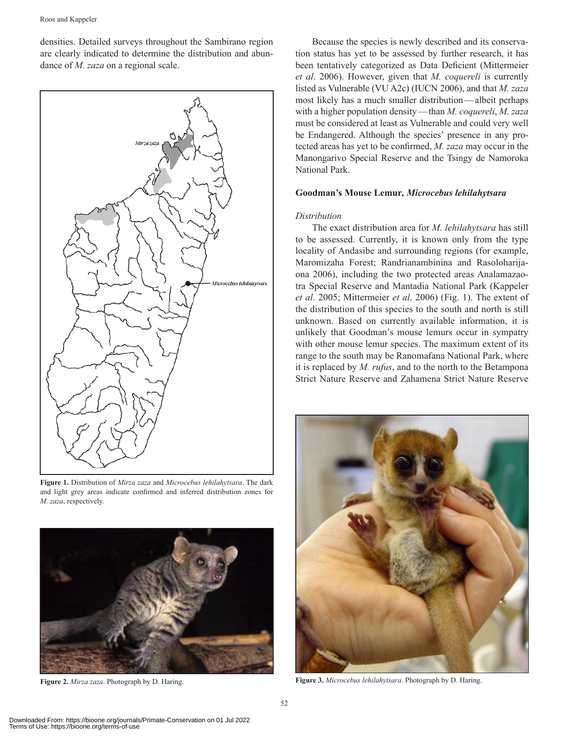densities. Detailed surveys throughout the Sambirano region are clearly indicated to determine the distribution and abundance of *M. zaza* on a regional scale.



**Figure 1.** Distribution of *Mirza zaza* and *Microcebus lehilahytsara*. The dark and light grey areas indicate confirmed and inferred distribution zones for *M. zaza*, respectively.



**Figure 2.** *Mirza zaza*. Photograph by D. Haring.

Because the species is newly described and its conservation status has yet to be assessed by further research, it has been tentatively categorized as Data Deficient (Mittermeier *et al*. 2006). However, given that *M. coquereli* is currently listed as Vulnerable (VU A2c) (IUCN 2006), and that *M. zaza* most likely has a much smaller distribution—albeit perhaps with a higher population density—than *M. coquereli*, *M. zaza* must be considered at least as Vulnerable and could very well be Endangered. Although the species' presence in any protected areas has yet to be confirmed, *M. zaza* may occur in the Manongarivo Special Reserve and the Tsingy de Namoroka National Park.

#### **Goodman's Mouse Lemur***, Microcebus lehilahytsara*

#### *Distribution*

The exact distribution area for *M. lehilahytsara* has still to be assessed. Currently, it is known only from the type locality of Andasibe and surrounding regions (for example, Maromizaha Forest; Randrianambinina and Rasoloharijaona 2006), including the two protected areas Analamazaotra Special Reserve and Mantadia National Park (Kappeler *et al.* 2005; Mittermeier *et al*. 2006) (Fig. 1). The extent of the distribution of this species to the south and north is still unknown. Based on currently available information, it is unlikely that Goodman's mouse lemurs occur in sympatry with other mouse lemur species. The maximum extent of its range to the south may be Ranomafana National Park, where it is replaced by *M. rufus*, and to the north to the Betampona Strict Nature Reserve and Zahamena Strict Nature Reserve



**Figure 3.** *Microcebus lehilahytsara*. Photograph by D. Haring.